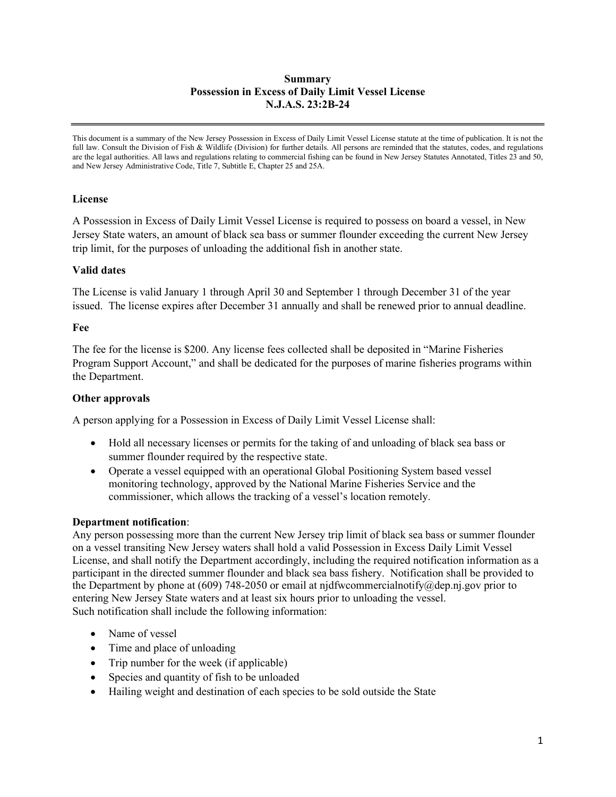### Summary Possession in Excess of Daily Limit Vessel License N.J.A.S. 23:2B-24

This document is a summary of the New Jersey Possession in Excess of Daily Limit Vessel License statute at the time of publication. It is not the full law. Consult the Division of Fish & Wildlife (Division) for further details. All persons are reminded that the statutes, codes, and regulations are the legal authorities. All laws and regulations relating to commercial fishing can be found in New Jersey Statutes Annotated, Titles 23 and 50, and New Jersey Administrative Code, Title 7, Subtitle E, Chapter 25 and 25A.

## License

A Possession in Excess of Daily Limit Vessel License is required to possess on board a vessel, in New Jersey State waters, an amount of black sea bass or summer flounder exceeding the current New Jersey trip limit, for the purposes of unloading the additional fish in another state.

## Valid dates

The License is valid January 1 through April 30 and September 1 through December 31 of the year issued. The license expires after December 31 annually and shall be renewed prior to annual deadline.

### Fee

The fee for the license is \$200. Any license fees collected shall be deposited in "Marine Fisheries Program Support Account," and shall be dedicated for the purposes of marine fisheries programs within the Department.

## Other approvals

A person applying for a Possession in Excess of Daily Limit Vessel License shall:

- Hold all necessary licenses or permits for the taking of and unloading of black sea bass or summer flounder required by the respective state.
- Operate a vessel equipped with an operational Global Positioning System based vessel monitoring technology, approved by the National Marine Fisheries Service and the commissioner, which allows the tracking of a vessel's location remotely.

### Department notification:

Any person possessing more than the current New Jersey trip limit of black sea bass or summer flounder on a vessel transiting New Jersey waters shall hold a valid Possession in Excess Daily Limit Vessel License, and shall notify the Department accordingly, including the required notification information as a participant in the directed summer flounder and black sea bass fishery. Notification shall be provided to the Department by phone at (609) 748-2050 or email at njdfwcommercialnotify@dep.nj.gov prior to entering New Jersey State waters and at least six hours prior to unloading the vessel. Such notification shall include the following information:

- Name of vessel
- Time and place of unloading
- Trip number for the week (if applicable)
- Species and quantity of fish to be unloaded
- Hailing weight and destination of each species to be sold outside the State